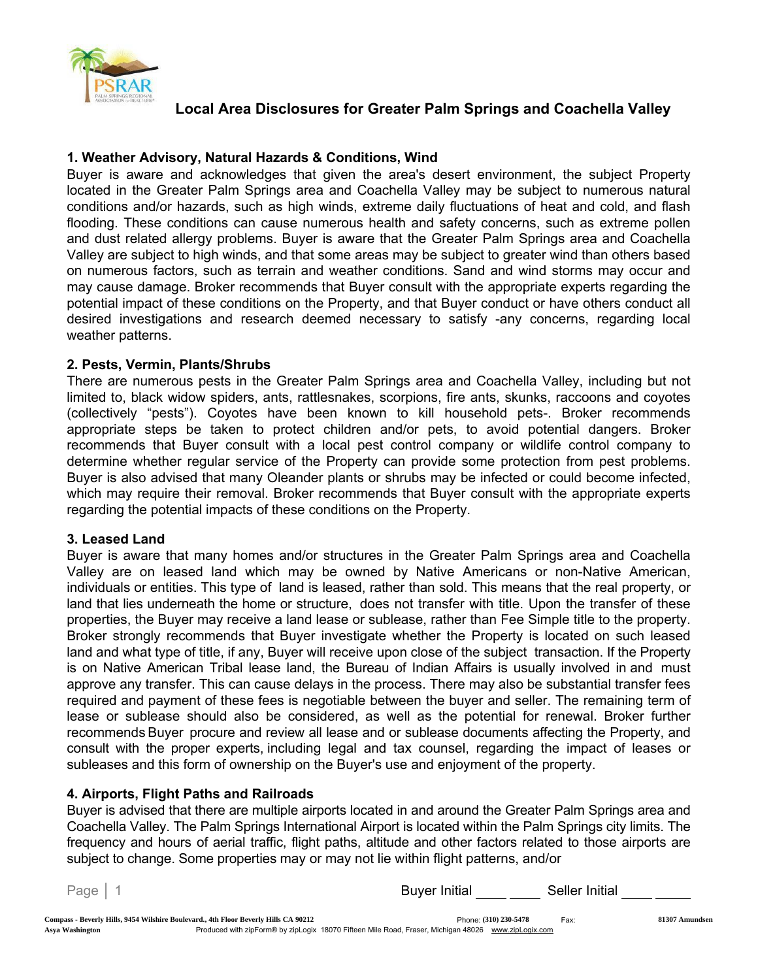

# Local Area Disclosures for Greater Palm Springs and Coachella Valley

## 1. Weather Advisory, Natural Hazards & Conditions, Wind

Buyer is aware and acknowledges that given the area's desert environment, the subject Property located in the Greater Palm Springs area and Coachella Valley may be subject to numerous natural conditions and/or hazards, such as high winds, extreme daily fluctuations of heat and cold, and flash flooding. These conditions can cause numerous health and safety concerns, such as extreme pollen and dust related allergy problems. Buyer is aware that the Greater Palm Springs area and Coachella Valley are subject to high winds, and that some areas may be subject to greater wind than others based on numerous factors, such as terrain and weather conditions. Sand and wind storms may occur and may cause damage. Broker recommends that Buyer consult with the appropriate experts regarding the potential impact of these conditions on the Property, and that Buyer conduct or have others conduct all desired investigations and research deemed necessary to satisfy -any concerns, regarding local weather patterns.

## 2. Pests, Vermin, Plants/Shrubs

There are numerous pests in the Greater Palm Springs area and Coachella Valley, including but not limited to, black widow spiders, ants, rattlesnakes, scorpions, fire ants, skunks, raccoons and coyotes (collectively "pests"). Coyotes have been known to kill household pets-. Broker recommends appropriate steps be taken to protect children and/or pets, to avoid potential dangers. Broker recommends that Buyer consult with a local pest control company or wildlife control company to determine whether regular service of the Property can provide some protection from pest problems. Buyer is also advised that many Oleander plants or shrubs may be infected or could become infected, which may require their removal. Broker recommends that Buyer consult with the appropriate experts regarding the potential impacts of these conditions on the Property.

### 3. Leased Land

Asy<sub>8</sub>

Buyer is aware that many homes and/or structures in the Greater Palm Springs area and Coachella Valley are on leased land which may be owned by Native Americans or non-Native American, individuals or entities. This type of land is leased, rather than sold. This means that the real property, or land that lies underneath the home or structure, does not transfer with title. Upon the transfer of these properties, the Buyer may receive a land lease or sublease, rather than Fee Simple title to the property. Broker strongly recommends that Buyer investigate whether the Property is located on such leased land and what type of title, if any, Buyer will receive upon close of the subject transaction. If the Property is on Native American Tribal lease land, the Bureau of Indian Affairs is usually involved in and must approve any transfer. This can cause delays in the process. There may also be substantial transfer fees required and payment of these fees is negotiable between the buyer and seller. The remaining term of lease or sublease should also be considered, as well as the potential for renewal. Broker further recommends Buyer procure and review all lease and or sublease documents affecting the Property, and consult with the proper experts, including legal and tax counsel, regarding the impact of leases or subleases and this form of ownership on the Buyer's use and enjoyment of the property.

### 4. Airports, Flight Paths and Railroads

Buyer is advised that there are multiple airports located in and around the Greater Palm Springs area and Coachella Valley. The Palm Springs International Airport is located within the Palm Springs city limits. The frequency and hours of aerial traffic, flight paths, altitude and other factors related to those airports are subject to change. Some properties may or may not lie within flight patterns, and/or

| Page $ $                                                                            |                                                                                                     | Buver Initial         | Seller Initial |                |
|-------------------------------------------------------------------------------------|-----------------------------------------------------------------------------------------------------|-----------------------|----------------|----------------|
| Compass - Beverly Hills, 9454 Wilshire Boulevard., 4th Floor Beverly Hills CA 90212 |                                                                                                     | Phone: (310) 230-5478 | Fax:           | 81307 Amundsen |
| Asya Washington                                                                     | Produced with zipForm® by zipLogix 18070 Fifteen Mile Road, Fraser, Michigan 48026 www.zipLogix.com |                       |                |                |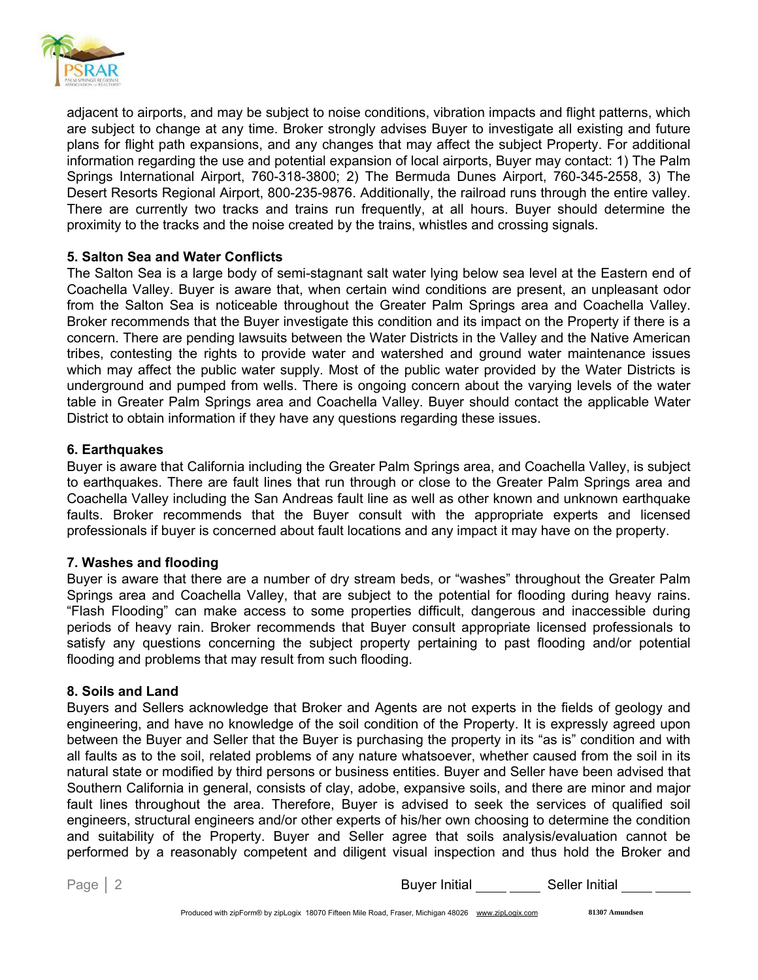

adjacent to airports, and may be subject to noise conditions, vibration impacts and flight patterns, which are subject to change at any time. Broker strongly advises Buyer to investigate all existing and future plans for flight path expansions, and any changes that may affect the subject Property. For additional information regarding the use and potential expansion of local airports, Buyer may contact: 1) The Palm Springs International Airport, 760-318-3800; 2) The Bermuda Dunes Airport, 760-345-2558, 3) The Desert Resorts Regional Airport, 800-235-9876. Additionally, the railroad runs through the entire valley. There are currently two tracks and trains run frequently, at all hours. Buyer should determine the proximity to the tracks and the noise created by the trains, whistles and crossing signals.

### 5. Salton Sea and Water Conflicts

The Salton Sea is a large body of semi-stagnant salt water lying below sea level at the Eastern end of Coachella Valley. Buyer is aware that, when certain wind conditions are present, an unpleasant odor from the Salton Sea is noticeable throughout the Greater Palm Springs area and Coachella Valley. Broker recommends that the Buyer investigate this condition and its impact on the Property if there is a concern. There are pending lawsuits between the Water Districts in the Valley and the Native American tribes, contesting the rights to provide water and watershed and ground water maintenance issues which may affect the public water supply. Most of the public water provided by the Water Districts is underground and pumped from wells. There is ongoing concern about the varying levels of the water table in Greater Palm Springs area and Coachella Valley. Buyer should contact the applicable Water District to obtain information if they have any questions regarding these issues.

### 6. Earthquakes

Buyer is aware that California including the Greater Palm Springs area, and Coachella Valley, is subject to earthquakes. There are fault lines that run through or close to the Greater Palm Springs area and Coachella Valley including the San Andreas fault line as well as other known and unknown earthquake faults. Broker recommends that the Buyer consult with the appropriate experts and licensed professionals if buyer is concerned about fault locations and any impact it may have on the property.

### 7. Washes and flooding

Buyer is aware that there are a number of dry stream beds, or "washes" throughout the Greater Palm Springs area and Coachella Valley, that are subject to the potential for flooding during heavy rains. "Flash Flooding" can make access to some properties difficult, dangerous and inaccessible during periods of heavy rain. Broker recommends that Buyer consult appropriate licensed professionals to satisfy any questions concerning the subject property pertaining to past flooding and/or potential flooding and problems that may result from such flooding.

### 8. Soils and Land

Buyers and Sellers acknowledge that Broker and Agents are not experts in the fields of geology and engineering, and have no knowledge of the soil condition of the Property. It is expressly agreed upon between the Buyer and Seller that the Buyer is purchasing the property in its "as is" condition and with all faults as to the soil, related problems of any nature whatsoever, whether caused from the soil in its natural state or modified by third persons or business entities. Buyer and Seller have been advised that Southern California in general, consists of clay, adobe, expansive soils, and there are minor and major fault lines throughout the area. Therefore, Buyer is advised to seek the services of qualified soil engineers, structural engineers and/or other experts of his/her own choosing to determine the condition and suitability of the Property. Buyer and Seller agree that soils analysis/evaluation cannot be performed by a reasonably competent and diligent visual inspection and thus hold the Broker and

Page │ 2 Buyer Initial Seller Initial Seller Initial Seller Initial Seller Initial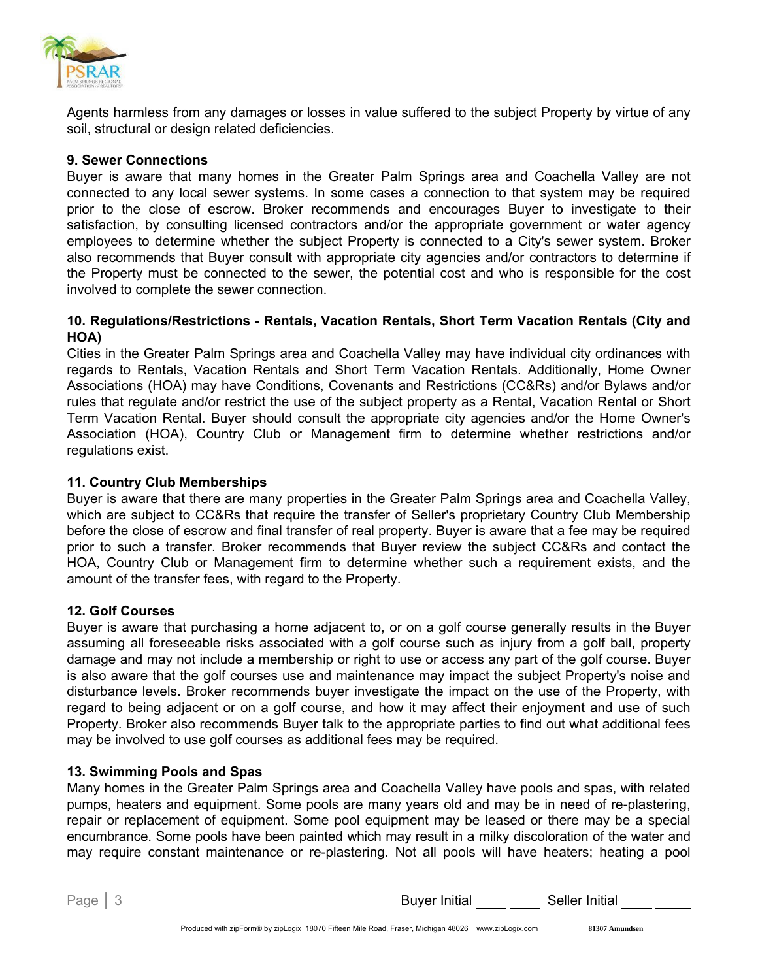

Agents harmless from any damages or losses in value suffered to the subject Property by virtue of any soil, structural or design related deficiencies.

### 9. Sewer Connections

Buyer is aware that many homes in the Greater Palm Springs area and Coachella Valley are not connected to any local sewer systems. In some cases a connection to that system may be required prior to the close of escrow. Broker recommends and encourages Buyer to investigate to their satisfaction, by consulting licensed contractors and/or the appropriate government or water agency employees to determine whether the subject Property is connected to a City's sewer system. Broker also recommends that Buyer consult with appropriate city agencies and/or contractors to determine if the Property must be connected to the sewer, the potential cost and who is responsible for the cost involved to complete the sewer connection.

### 10. Regulations/Restrictions - Rentals, Vacation Rentals, Short Term Vacation Rentals (City and HOA)

Cities in the Greater Palm Springs area and Coachella Valley may have individual city ordinances with regards to Rentals, Vacation Rentals and Short Term Vacation Rentals. Additionally, Home Owner Associations (HOA) may have Conditions, Covenants and Restrictions (CC&Rs) and/or Bylaws and/or rules that regulate and/or restrict the use of the subject property as a Rental, Vacation Rental or Short Term Vacation Rental. Buyer should consult the appropriate city agencies and/or the Home Owner's Association (HOA), Country Club or Management firm to determine whether restrictions and/or regulations exist.

### 11. Country Club Memberships

Buyer is aware that there are many properties in the Greater Palm Springs area and Coachella Valley, which are subject to CC&Rs that require the transfer of Seller's proprietary Country Club Membership before the close of escrow and final transfer of real property. Buyer is aware that a fee may be required prior to such a transfer. Broker recommends that Buyer review the subject CC&Rs and contact the HOA, Country Club or Management firm to determine whether such a requirement exists, and the amount of the transfer fees, with regard to the Property.

### 12. Golf Courses

Buyer is aware that purchasing a home adjacent to, or on a golf course generally results in the Buyer assuming all foreseeable risks associated with a golf course such as injury from a golf ball, property damage and may not include a membership or right to use or access any part of the golf course. Buyer is also aware that the golf courses use and maintenance may impact the subject Property's noise and disturbance levels. Broker recommends buyer investigate the impact on the use of the Property, with regard to being adjacent or on a golf course, and how it may affect their enjoyment and use of such Property. Broker also recommends Buyer talk to the appropriate parties to find out what additional fees may be involved to use golf courses as additional fees may be required.

### 13. Swimming Pools and Spas

Many homes in the Greater Palm Springs area and Coachella Valley have pools and spas, with related pumps, heaters and equipment. Some pools are many years old and may be in need of re-plastering, repair or replacement of equipment. Some pool equipment may be leased or there may be a special encumbrance. Some pools have been painted which may result in a milky discoloration of the water and may require constant maintenance or re-plastering. Not all pools will have heaters; heating a pool

Page │ 3 Buyer Initial Seller Initial Seller Initial Seller Initial Seller Initial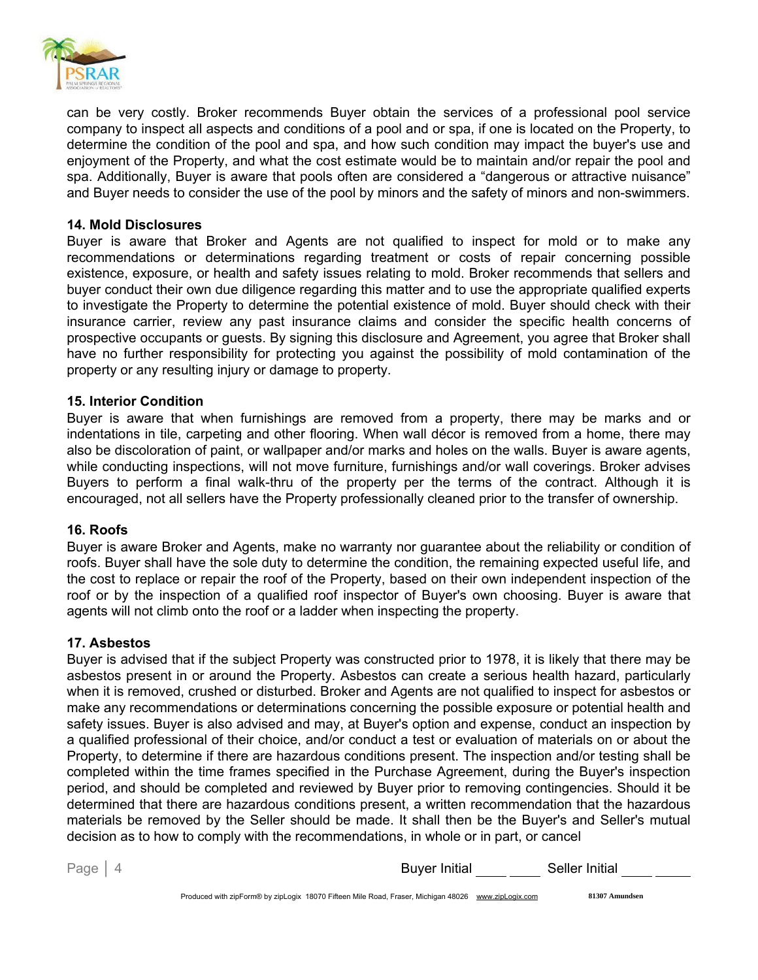

can be very costly. Broker recommends Buyer obtain the services of a professional pool service company to inspect all aspects and conditions of a pool and or spa, if one is located on the Property, to determine the condition of the pool and spa, and how such condition may impact the buyer's use and enjoyment of the Property, and what the cost estimate would be to maintain and/or repair the pool and spa. Additionally, Buyer is aware that pools often are considered a "dangerous or attractive nuisance" and Buyer needs to consider the use of the pool by minors and the safety of minors and non-swimmers.

### 14. Mold Disclosures

Buyer is aware that Broker and Agents are not qualified to inspect for mold or to make any recommendations or determinations regarding treatment or costs of repair concerning possible existence, exposure, or health and safety issues relating to mold. Broker recommends that sellers and buyer conduct their own due diligence regarding this matter and to use the appropriate qualified experts to investigate the Property to determine the potential existence of mold. Buyer should check with their insurance carrier, review any past insurance claims and consider the specific health concerns of prospective occupants or guests. By signing this disclosure and Agreement, you agree that Broker shall have no further responsibility for protecting you against the possibility of mold contamination of the property or any resulting injury or damage to property.

### 15. Interior Condition

Buyer is aware that when furnishings are removed from a property, there may be marks and or indentations in tile, carpeting and other flooring. When wall décor is removed from a home, there may also be discoloration of paint, or wallpaper and/or marks and holes on the walls. Buyer is aware agents, while conducting inspections, will not move furniture, furnishings and/or wall coverings. Broker advises Buyers to perform a final walk-thru of the property per the terms of the contract. Although it is encouraged, not all sellers have the Property professionally cleaned prior to the transfer of ownership.

### 16. Roofs

Buyer is aware Broker and Agents, make no warranty nor guarantee about the reliability or condition of roofs. Buyer shall have the sole duty to determine the condition, the remaining expected useful life, and the cost to replace or repair the roof of the Property, based on their own independent inspection of the roof or by the inspection of a qualified roof inspector of Buyer's own choosing. Buyer is aware that agents will not climb onto the roof or a ladder when inspecting the property.

### 17. Asbestos

Buyer is advised that if the subject Property was constructed prior to 1978, it is likely that there may be asbestos present in or around the Property. Asbestos can create a serious health hazard, particularly when it is removed, crushed or disturbed. Broker and Agents are not qualified to inspect for asbestos or make any recommendations or determinations concerning the possible exposure or potential health and safety issues. Buyer is also advised and may, at Buyer's option and expense, conduct an inspection by a qualified professional of their choice, and/or conduct a test or evaluation of materials on or about the Property, to determine if there are hazardous conditions present. The inspection and/or testing shall be completed within the time frames specified in the Purchase Agreement, during the Buyer's inspection period, and should be completed and reviewed by Buyer prior to removing contingencies. Should it be determined that there are hazardous conditions present, a written recommendation that the hazardous materials be removed by the Seller should be made. It shall then be the Buyer's and Seller's mutual decision as to how to comply with the recommendations, in whole or in part, or cancel

Page | 4 **Buyer Initial Seller Initial Seller Initial** Seller Initial Seller Initial